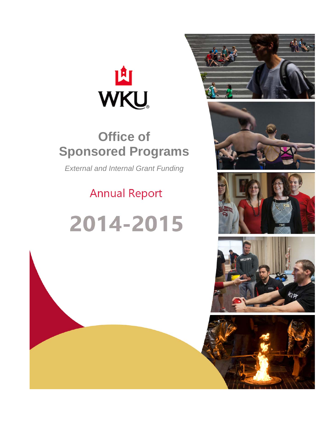

# **Office of Sponsored Programs**

*External and Internal Grant Funding* 

# **Annual Report**

# 2014-2015









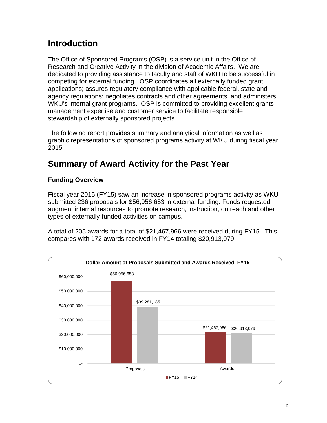## **Introduction**

The Office of Sponsored Programs (OSP) is a service unit in the Office of Research and Creative Activity in the division of Academic Affairs. We are dedicated to providing assistance to faculty and staff of WKU to be successful in competing for external funding. OSP coordinates all externally funded grant applications; assures regulatory compliance with applicable federal, state and agency regulations; negotiates contracts and other agreements, and administers WKU's internal grant programs. OSP is committed to providing excellent grants management expertise and customer service to facilitate responsible stewardship of externally sponsored projects.

The following report provides summary and analytical information as well as graphic representations of sponsored programs activity at WKU during fiscal year 2015.

## **Summary of Award Activity for the Past Year**

#### **Funding Overview**

Fiscal year 2015 (FY15) saw an increase in sponsored programs activity as WKU submitted 236 proposals for \$56,956,653 in external funding. Funds requested augment internal resources to promote research, instruction, outreach and other types of externally-funded activities on campus.

A total of 205 awards for a total of \$21,467,966 were received during FY15. This compares with 172 awards received in FY14 totaling \$20,913,079.

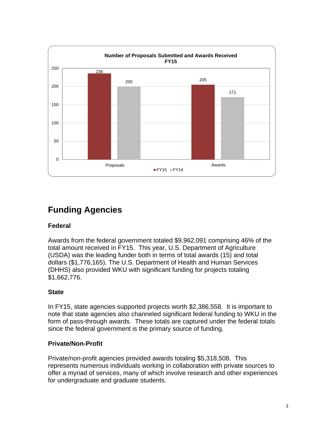

# **Funding Agencies**

#### **Federal**

Awards from the federal government totaled \$9,962,091 comprising 46% of the total amount received in FY15. This year, U.S. Department of Agriculture (USDA) was the leading funder both in terms of total awards (15) and total dollars (\$1,776,165). The U.S. Department of Health and Human Services (DHHS) also provided WKU with significant funding for projects totaling \$1,662,776.

#### **State**

In FY15, state agencies supported projects worth \$2,386,558. It is important to note that state agencies also channeled significant federal funding to WKU in the form of pass-through awards. These totals are captured under the federal totals since the federal government is the primary source of funding.

#### **Private/Non-Profit**

Private/non-profit agencies provided awards totaling \$5,318,508. This represents numerous individuals working in collaboration with private sources to offer a myriad of services, many of which involve research and other experiences for undergraduate and graduate students.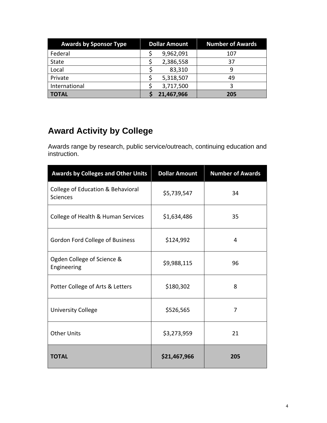| <b>Awards by Sponsor Type</b> | <b>Dollar Amount</b> |            | <b>Number of Awards</b> |  |
|-------------------------------|----------------------|------------|-------------------------|--|
| Federal                       |                      | 9,962,091  | 107                     |  |
| <b>State</b>                  |                      | 2,386,558  | 37                      |  |
| Local                         |                      | 83,310     | 9                       |  |
| Private                       |                      | 5,318,507  | 49                      |  |
| International                 |                      | 3,717,500  |                         |  |
| <b>TOTAL</b>                  |                      | 21,467,966 | 205                     |  |

# **Award Activity by College**

Awards range by research, public service/outreach, continuing education and instruction.

| <b>Awards by Colleges and Other Units</b>            | <b>Dollar Amount</b> | <b>Number of Awards</b> |  |
|------------------------------------------------------|----------------------|-------------------------|--|
| College of Education & Behavioral<br><b>Sciences</b> | \$5,739,547          | 34                      |  |
| College of Health & Human Services                   | \$1,634,486          | 35                      |  |
| Gordon Ford College of Business                      | \$124,992            | 4                       |  |
| Ogden College of Science &<br>Engineering            | \$9,988,115          | 96                      |  |
| Potter College of Arts & Letters                     | \$180,302            | 8                       |  |
| <b>University College</b>                            | \$526,565            | 7                       |  |
| <b>Other Units</b>                                   | \$3,273,959          | 21                      |  |
| <b>TOTAL</b>                                         | \$21,467,966         | 205                     |  |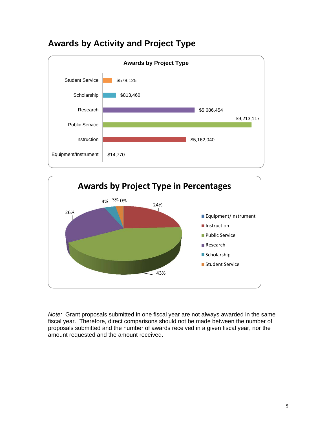





*Note:* Grant proposals submitted in one fiscal year are not always awarded in the same fiscal year. Therefore, direct comparisons should not be made between the number of proposals submitted and the number of awards received in a given fiscal year, nor the amount requested and the amount received.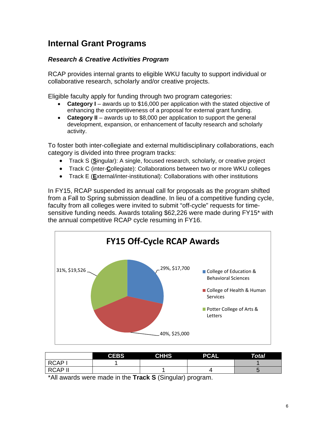### **Internal Grant Programs**

#### *Research & Creative Activities Program*

RCAP provides internal grants to eligible WKU faculty to support individual or collaborative research, scholarly and/or creative projects.

Eligible faculty apply for funding through two program categories:

- **Category I** awards up to \$16,000 per application with the stated objective of enhancing the competitiveness of a proposal for external grant funding.
- **Category II** awards up to \$8,000 per application to support the general development, expansion, or enhancement of faculty research and scholarly activity.

To foster both inter-collegiate and external multidisciplinary collaborations, each category is divided into three program tracks:

- Track S (**S**ingular): A single, focused research, scholarly, or creative project
- Track C (inter-**C**ollegiate): Collaborations between two or more WKU colleges
- Track E (**E**xternal/inter-institutional): Collaborations with other institutions

In FY15, RCAP suspended its annual call for proposals as the program shifted from a Fall to Spring submission deadline. In lieu of a competitive funding cycle, faculty from all colleges were invited to submit "off-cycle" requests for timesensitive funding needs. Awards totaling \$62,226 were made during FY15\* with the annual competitive RCAP cycle resuming in FY16.



|                | <b>CEBS</b> | <b>CHHS</b> | <b>PCAL</b> | Total |
|----------------|-------------|-------------|-------------|-------|
| <b>RCAP</b>    |             |             |             |       |
| <b>RCAP II</b> |             |             |             |       |

\*All awards were made in the **Track S** (Singular) program.